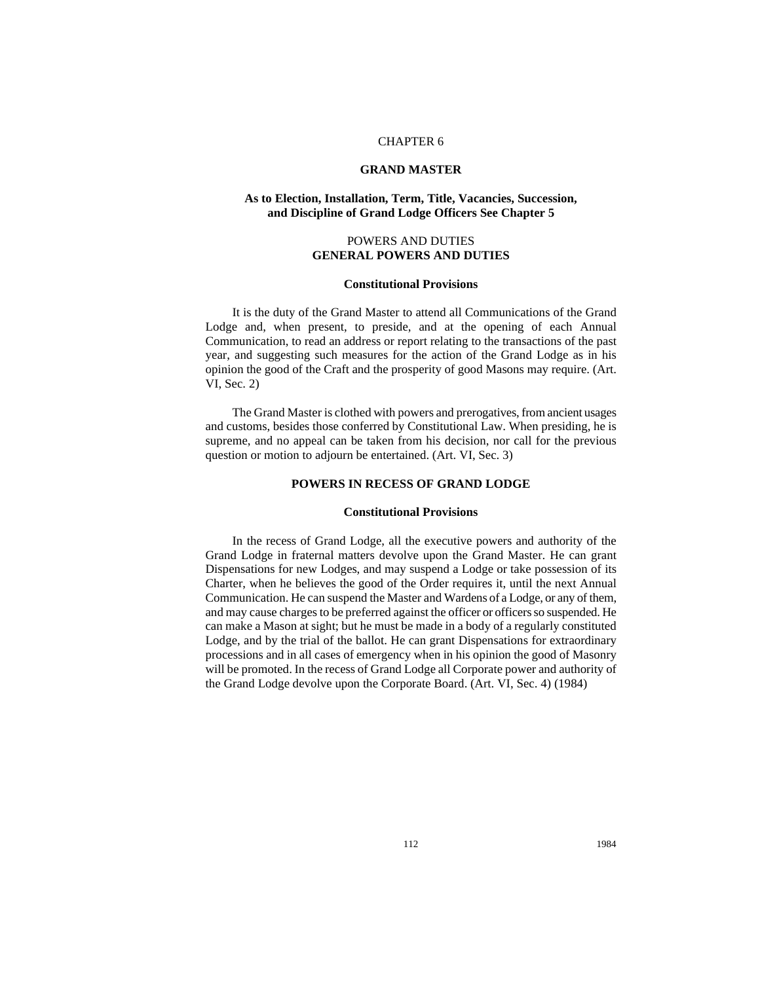# CHAPTER 6

# **GRAND MASTER**

# **As to Election, Installation, Term, Title, Vacancies, Succession, and Discipline of Grand Lodge Officers See Chapter 5**

# POWERS AND DUTIES **GENERAL POWERS AND DUTIES**

## **Constitutional Provisions**

It is the duty of the Grand Master to attend all Communications of the Grand Lodge and, when present, to preside, and at the opening of each Annual Communication, to read an address or report relating to the transactions of the past year, and suggesting such measures for the action of the Grand Lodge as in his opinion the good of the Craft and the prosperity of good Masons may require. (Art. VI, Sec. 2)

The Grand Master is clothed with powers and prerogatives, from ancient usages and customs, besides those conferred by Constitutional Law. When presiding, he is supreme, and no appeal can be taken from his decision, nor call for the previous question or motion to adjourn be entertained. (Art. VI, Sec. 3)

# **POWERS IN RECESS OF GRAND LODGE**

# **Constitutional Provisions**

In the recess of Grand Lodge, all the executive powers and authority of the Grand Lodge in fraternal matters devolve upon the Grand Master. He can grant Dispensations for new Lodges, and may suspend a Lodge or take possession of its Charter, when he believes the good of the Order requires it, until the next Annual Communication. He can suspend the Master and Wardens of a Lodge, or any of them, and may cause charges to be preferred against the officer or officers so suspended. He can make a Mason at sight; but he must be made in a body of a regularly constituted Lodge, and by the trial of the ballot. He can grant Dispensations for extraordinary processions and in all cases of emergency when in his opinion the good of Masonry will be promoted. In the recess of Grand Lodge all Corporate power and authority of the Grand Lodge devolve upon the Corporate Board. (Art. VI, Sec. 4) (1984)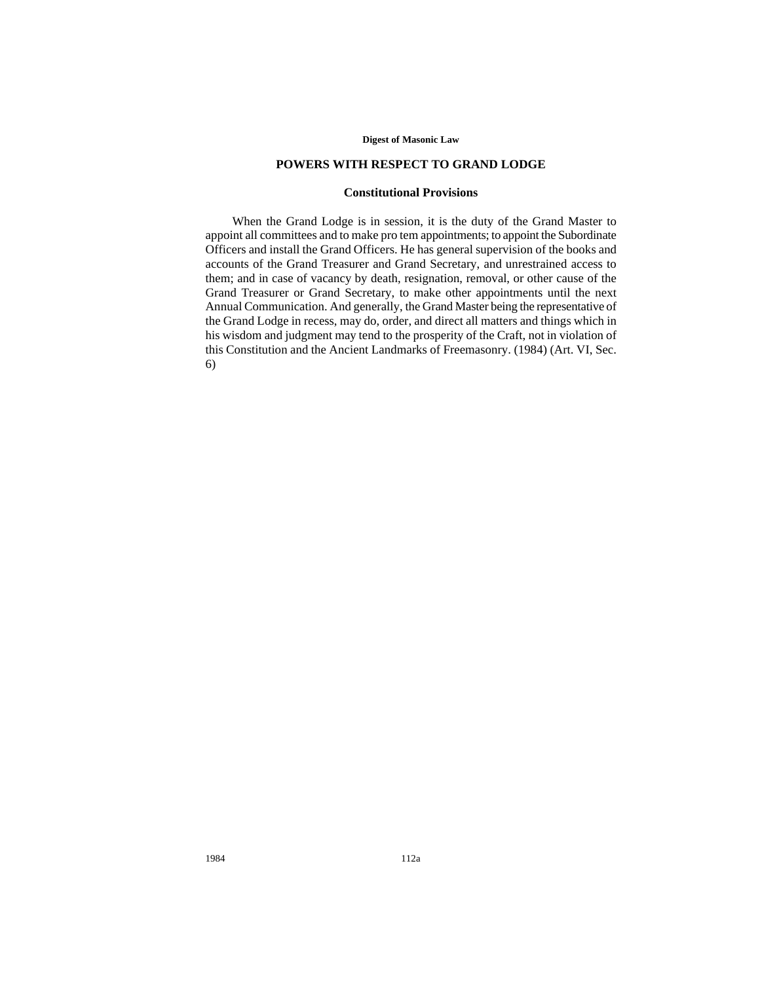## **Digest of Masonic Law**

# **POWERS WITH RESPECT TO GRAND LODGE**

# **Constitutional Provisions**

When the Grand Lodge is in session, it is the duty of the Grand Master to appoint all committees and to make pro tem appointments; to appoint the Subordinate Officers and install the Grand Officers. He has general supervision of the books and accounts of the Grand Treasurer and Grand Secretary, and unrestrained access to them; and in case of vacancy by death, resignation, removal, or other cause of the Grand Treasurer or Grand Secretary, to make other appointments until the next Annual Communication. And generally, the Grand Master being the representative of the Grand Lodge in recess, may do, order, and direct all matters and things which in his wisdom and judgment may tend to the prosperity of the Craft, not in violation of this Constitution and the Ancient Landmarks of Freemasonry. (1984) (Art. VI, Sec. 6)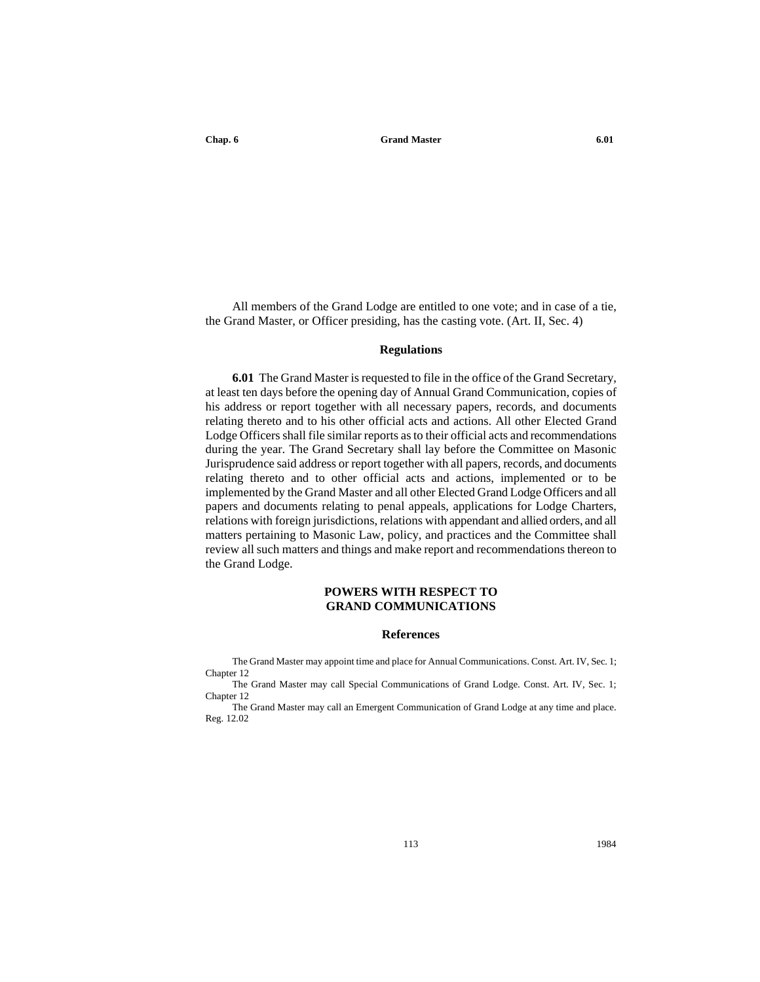All members of the Grand Lodge are entitled to one vote; and in case of a tie, the Grand Master, or Officer presiding, has the casting vote. (Art. II, Sec. 4)

#### **Regulations**

**6.01** The Grand Master is requested to file in the office of the Grand Secretary, at least ten days before the opening day of Annual Grand Communication, copies of his address or report together with all necessary papers, records, and documents relating thereto and to his other official acts and actions. All other Elected Grand Lodge Officers shall file similar reports as to their official acts and recommendations during the year. The Grand Secretary shall lay before the Committee on Masonic Jurisprudence said address or report together with all papers, records, and documents relating thereto and to other official acts and actions, implemented or to be implemented by the Grand Master and all other Elected Grand Lodge Officers and all papers and documents relating to penal appeals, applications for Lodge Charters, relations with foreign jurisdictions, relations with appendant and allied orders, and all matters pertaining to Masonic Law, policy, and practices and the Committee shall review all such matters and things and make report and recommendations thereon to the Grand Lodge.

# **POWERS WITH RESPECT TO GRAND COMMUNICATIONS**

# **References**

The Grand Master may appoint time and place for Annual Communications. Const. Art. IV, Sec. 1; Chapter 12

The Grand Master may call Special Communications of Grand Lodge. Const. Art. IV, Sec. 1; Chapter 12

The Grand Master may call an Emergent Communication of Grand Lodge at any time and place. Reg. 12.02

113 1984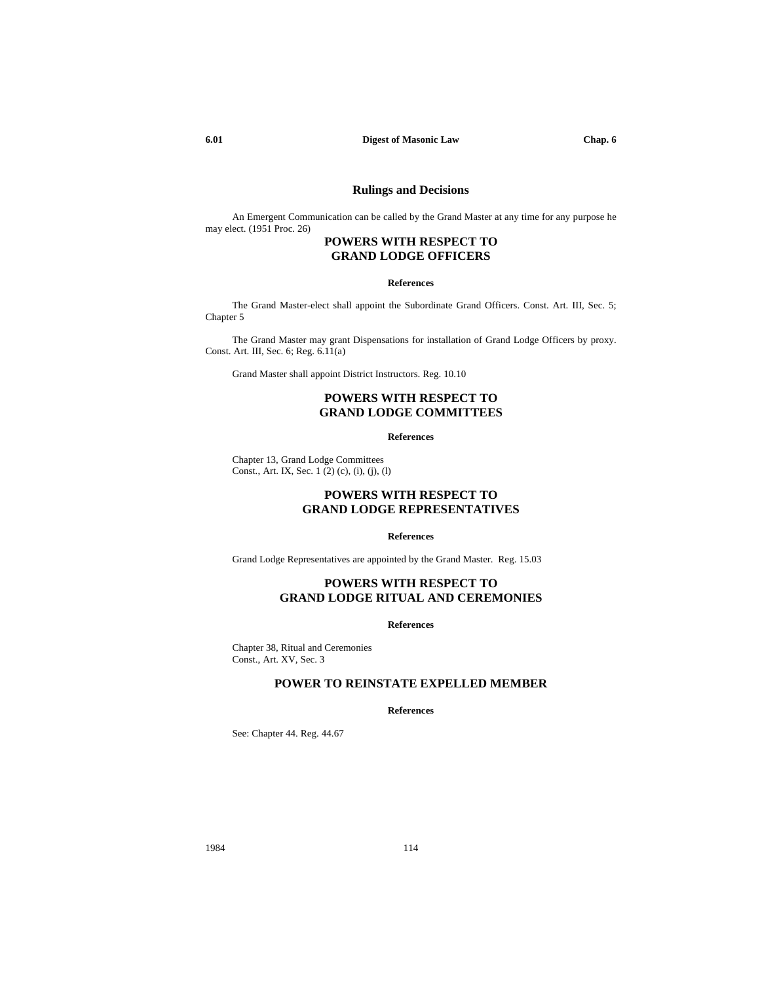#### **6.01 Digest of Masonic Law Chap. 6**

# **Rulings and Decisions**

An Emergent Communication can be called by the Grand Master at any time for any purpose he may elect. (1951 Proc. 26)

# **POWERS WITH RESPECT TO GRAND LODGE OFFICERS**

#### **References**

The Grand Master-elect shall appoint the Subordinate Grand Officers. Const. Art. III, Sec. 5; Chapter 5

The Grand Master may grant Dispensations for installation of Grand Lodge Officers by proxy. Const. Art. III, Sec. 6; Reg. 6.11(a)

Grand Master shall appoint District Instructors. Reg. 10.10

# **POWERS WITH RESPECT TO GRAND LODGE COMMITTEES**

## **References**

Chapter 13, Grand Lodge Committees Const., Art. IX, Sec. 1 (2) (c), (i), (j), (l)

# **POWERS WITH RESPECT TO GRAND LODGE REPRESENTATIVES**

#### **References**

Grand Lodge Representatives are appointed by the Grand Master. Reg. 15.03

# **POWERS WITH RESPECT TO GRAND LODGE RITUAL AND CEREMONIES**

#### **References**

Chapter 38, Ritual and Ceremonies Const., Art. XV, Sec. 3

# **POWER TO REINSTATE EXPELLED MEMBER**

## **References**

See: Chapter 44. Reg. 44.67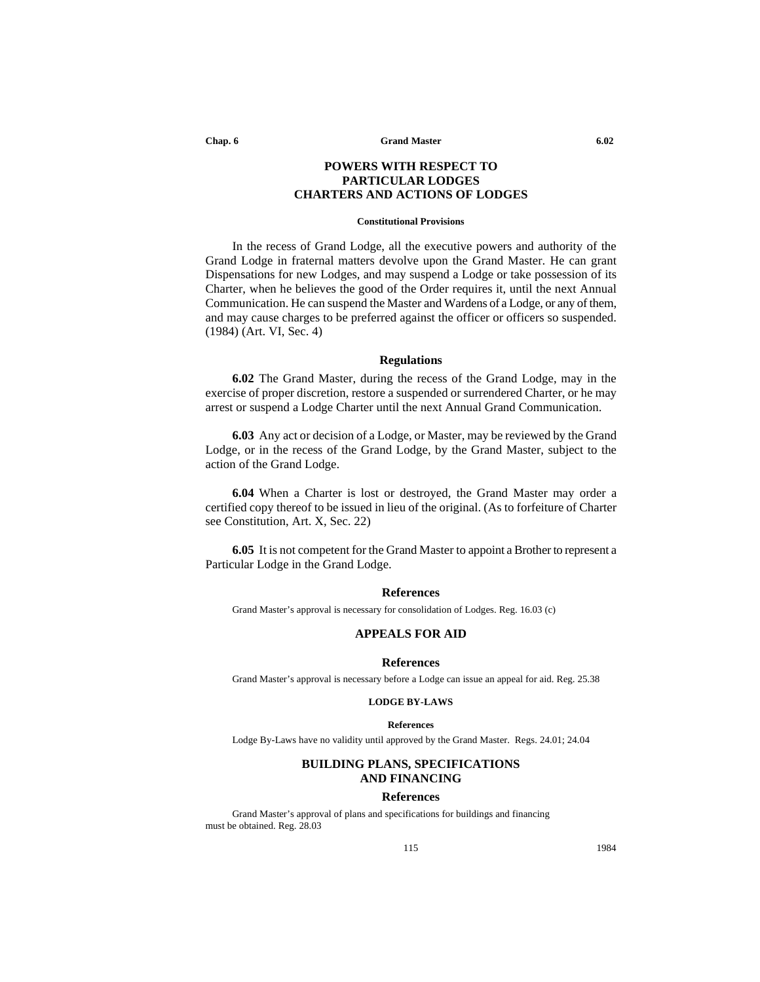**Chap. 6 Grand Master 6.02**

# **POWERS WITH RESPECT TO PARTICULAR LODGES CHARTERS AND ACTIONS OF LODGES**

#### **Constitutional Provisions**

In the recess of Grand Lodge, all the executive powers and authority of the Grand Lodge in fraternal matters devolve upon the Grand Master. He can grant Dispensations for new Lodges, and may suspend a Lodge or take possession of its Charter, when he believes the good of the Order requires it, until the next Annual Communication. He can suspend the Master and Wardens of a Lodge, or any of them, and may cause charges to be preferred against the officer or officers so suspended. (1984) (Art. VI, Sec. 4)

# **Regulations**

**6.02** The Grand Master, during the recess of the Grand Lodge, may in the exercise of proper discretion, restore a suspended or surrendered Charter, or he may arrest or suspend a Lodge Charter until the next Annual Grand Communication.

**6.03** Any act or decision of a Lodge, or Master, may be reviewed by the Grand Lodge, or in the recess of the Grand Lodge, by the Grand Master, subject to the action of the Grand Lodge.

**6.04** When a Charter is lost or destroyed, the Grand Master may order a certified copy thereof to be issued in lieu of the original. (As to forfeiture of Charter see Constitution, Art. X, Sec. 22)

**6.05** It is not competent for the Grand Master to appoint a Brother to represent a Particular Lodge in the Grand Lodge.

## **References**

Grand Master's approval is necessary for consolidation of Lodges. Reg. 16.03 (c)

# **APPEALS FOR AID**

# **References**

Grand Master's approval is necessary before a Lodge can issue an appeal for aid. Reg. 25.38

#### **LODGE BY-LAWS**

#### **References**

Lodge By-Laws have no validity until approved by the Grand Master. Regs. 24.01; 24.04

# **BUILDING PLANS, SPECIFICATIONS AND FINANCING**

#### **References**

Grand Master's approval of plans and specifications for buildings and financing must be obtained. Reg. 28.03

115 1984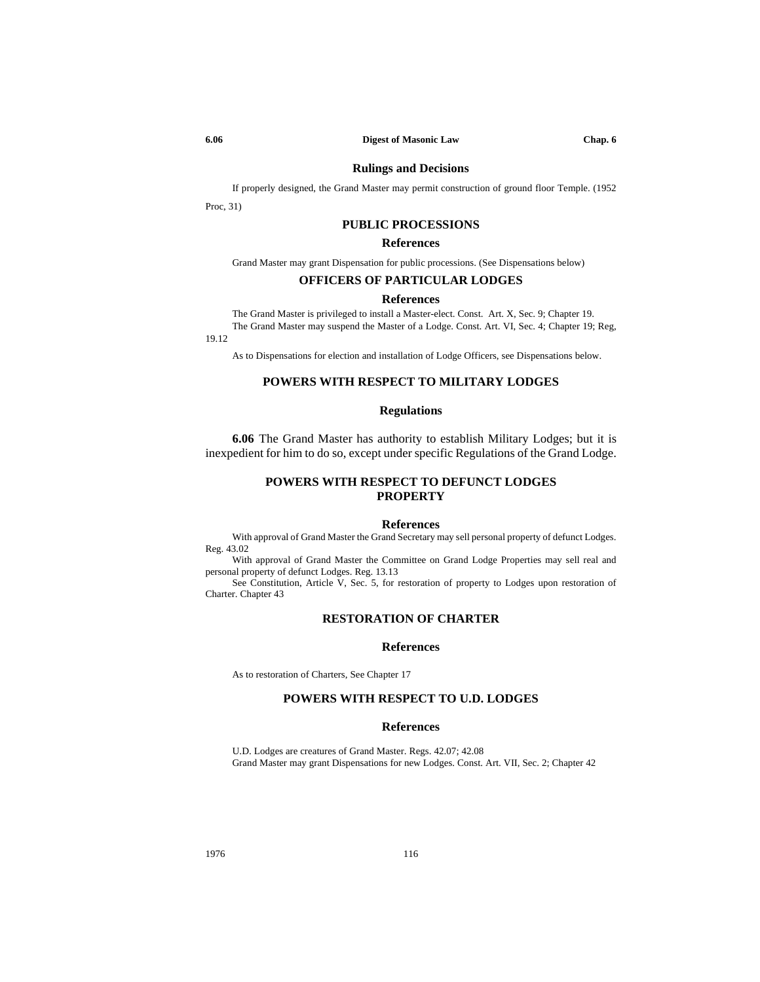# **Rulings and Decisions**

If properly designed, the Grand Master may permit construction of ground floor Temple. (1952

Proc, 31)

# **PUBLIC PROCESSIONS**

# **References**

Grand Master may grant Dispensation for public processions. (See Dispensations below)

# **OFFICERS OF PARTICULAR LODGES**

# **References**

The Grand Master is privileged to install a Master-elect. Const. Art. X, Sec. 9; Chapter 19. The Grand Master may suspend the Master of a Lodge. Const. Art. VI, Sec. 4; Chapter 19; Reg,

19.12

As to Dispensations for election and installation of Lodge Officers, see Dispensations below.

# **POWERS WITH RESPECT TO MILITARY LODGES**

# **Regulations**

**6.06** The Grand Master has authority to establish Military Lodges; but it is inexpedient for him to do so, except under specific Regulations of the Grand Lodge.

# **POWERS WITH RESPECT TO DEFUNCT LODGES PROPERTY**

## **References**

With approval of Grand Master the Grand Secretary may sell personal property of defunct Lodges. Reg. 43.02

With approval of Grand Master the Committee on Grand Lodge Properties may sell real and personal property of defunct Lodges. Reg. 13.13

See Constitution, Article V, Sec. 5, for restoration of property to Lodges upon restoration of Charter. Chapter 43

## **RESTORATION OF CHARTER**

#### **References**

As to restoration of Charters, See Chapter 17

# **POWERS WITH RESPECT TO U.D. LODGES**

#### **References**

U.D. Lodges are creatures of Grand Master. Regs. 42.07; 42.08 Grand Master may grant Dispensations for new Lodges. Const. Art. VII, Sec. 2; Chapter 42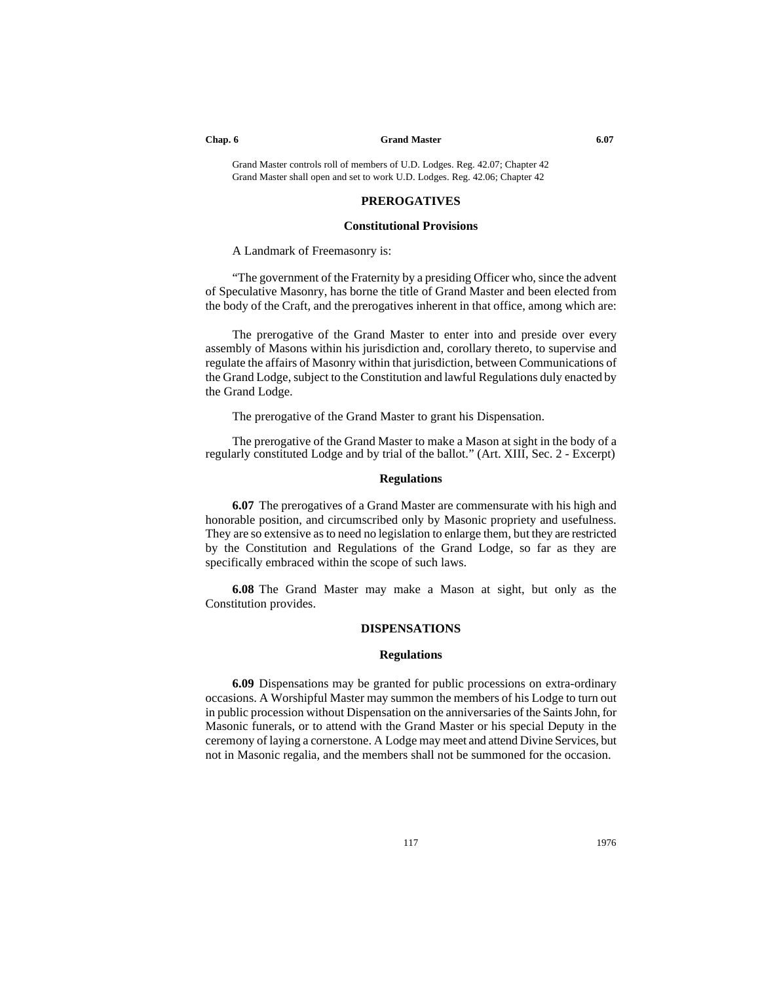#### **Chap. 6 Grand Master 6.07**

Grand Master controls roll of members of U.D. Lodges. Reg. 42.07; Chapter 42 Grand Master shall open and set to work U.D. Lodges. Reg. 42.06; Chapter 42

## **PREROGATIVES**

# **Constitutional Provisions**

A Landmark of Freemasonry is:

"The government of the Fraternity by a presiding Officer who, since the advent of Speculative Masonry, has borne the title of Grand Master and been elected from the body of the Craft, and the prerogatives inherent in that office, among which are:

The prerogative of the Grand Master to enter into and preside over every assembly of Masons within his jurisdiction and, corollary thereto, to supervise and regulate the affairs of Masonry within that jurisdiction, between Communications of the Grand Lodge, subject to the Constitution and lawful Regulations duly enacted by the Grand Lodge.

The prerogative of the Grand Master to grant his Dispensation.

The prerogative of the Grand Master to make a Mason at sight in the body of a regularly constituted Lodge and by trial of the ballot." (Art. XIII, Sec. 2 - Excerpt)

# **Regulations**

**6.07** The prerogatives of a Grand Master are commensurate with his high and honorable position, and circumscribed only by Masonic propriety and usefulness. They are so extensive as to need no legislation to enlarge them, but they are restricted by the Constitution and Regulations of the Grand Lodge, so far as they are specifically embraced within the scope of such laws.

**6.08** The Grand Master may make a Mason at sight, but only as the Constitution provides.

# **DISPENSATIONS**

## **Regulations**

**6.09** Dispensations may be granted for public processions on extra-ordinary occasions. A Worshipful Master may summon the members of his Lodge to turn out in public procession without Dispensation on the anniversaries of the Saints John, for Masonic funerals, or to attend with the Grand Master or his special Deputy in the ceremony of laying a cornerstone. A Lodge may meet and attend Divine Services, but not in Masonic regalia, and the members shall not be summoned for the occasion.

117 1976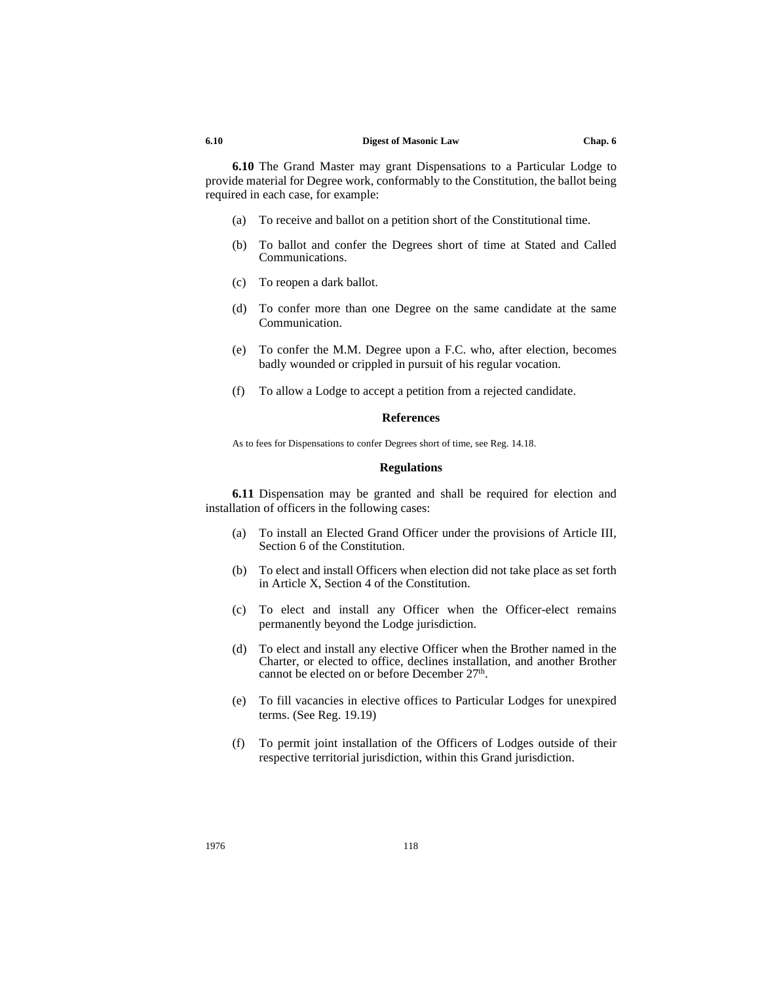#### **6.10 Digest of Masonic Law Chap. 6**

**6.10** The Grand Master may grant Dispensations to a Particular Lodge to provide material for Degree work, conformably to the Constitution, the ballot being required in each case, for example:

- (a) To receive and ballot on a petition short of the Constitutional time.
- (b) To ballot and confer the Degrees short of time at Stated and Called Communications.
- (c) To reopen a dark ballot.
- (d) To confer more than one Degree on the same candidate at the same Communication.
- (e) To confer the M.M. Degree upon a F.C. who, after election, becomes badly wounded or crippled in pursuit of his regular vocation.
- (f) To allow a Lodge to accept a petition from a rejected candidate.

# **References**

As to fees for Dispensations to confer Degrees short of time, see Reg. 14.18.

#### **Regulations**

**6.11** Dispensation may be granted and shall be required for election and installation of officers in the following cases:

- (a) To install an Elected Grand Officer under the provisions of Article III, Section 6 of the Constitution.
- (b) To elect and install Officers when election did not take place as set forth in Article X, Section 4 of the Constitution.
- (c) To elect and install any Officer when the Officer-elect remains permanently beyond the Lodge jurisdiction.
- (d) To elect and install any elective Officer when the Brother named in the Charter, or elected to office, declines installation, and another Brother cannot be elected on or before December 27<sup>th</sup>.
- (e) To fill vacancies in elective offices to Particular Lodges for unexpired terms. (See Reg. 19.19)
- (f) To permit joint installation of the Officers of Lodges outside of their respective territorial jurisdiction, within this Grand jurisdiction.